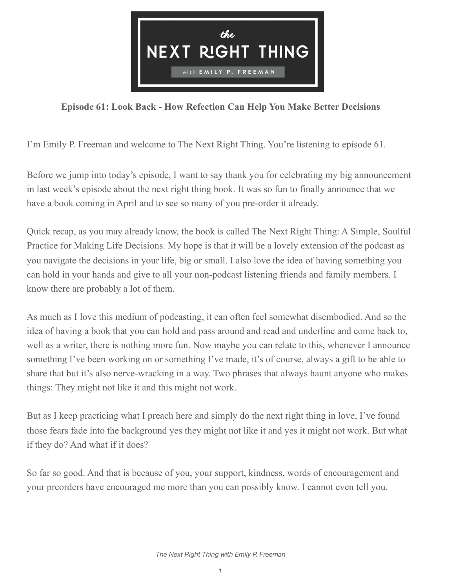

## **Episode 61: Look Back - How Refection Can Help You Make Better Decisions**

I'm Emily P. Freeman and welcome to The Next Right Thing. You're listening to episode 61.

Before we jump into today's episode, I want to say thank you for celebrating my big announcement in last week's episode about the next right thing book. It was so fun to finally announce that we have a book coming in April and to see so many of you pre-order it already.

Quick recap, as you may already know, the book is called The Next Right Thing: A Simple, Soulful Practice for Making Life Decisions. My hope is that it will be a lovely extension of the podcast as you navigate the decisions in your life, big or small. I also love the idea of having something you can hold in your hands and give to all your non-podcast listening friends and family members. I know there are probably a lot of them.

As much as I love this medium of podcasting, it can often feel somewhat disembodied. And so the idea of having a book that you can hold and pass around and read and underline and come back to, well as a writer, there is nothing more fun. Now maybe you can relate to this, whenever I announce something I've been working on or something I've made, it's of course, always a gift to be able to share that but it's also nerve-wracking in a way. Two phrases that always haunt anyone who makes things: They might not like it and this might not work.

But as I keep practicing what I preach here and simply do the next right thing in love, I've found those fears fade into the background yes they might not like it and yes it might not work. But what if they do? And what if it does?

So far so good. And that is because of you, your support, kindness, words of encouragement and your preorders have encouraged me more than you can possibly know. I cannot even tell you.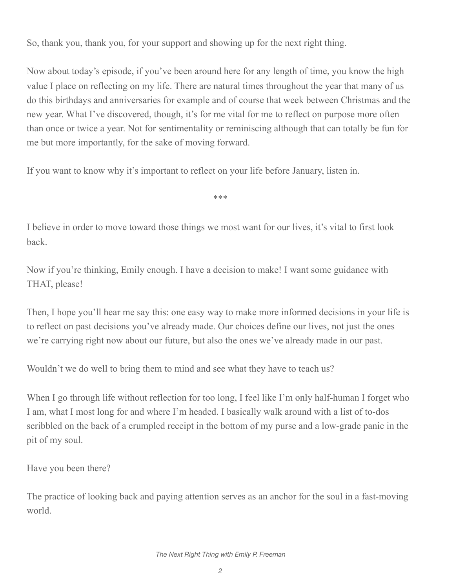So, thank you, thank you, for your support and showing up for the next right thing.

Now about today's episode, if you've been around here for any length of time, you know the high value I place on reflecting on my life. There are natural times throughout the year that many of us do this birthdays and anniversaries for example and of course that week between Christmas and the new year. What I've discovered, though, it's for me vital for me to reflect on purpose more often than once or twice a year. Not for sentimentality or reminiscing although that can totally be fun for me but more importantly, for the sake of moving forward.

If you want to know why it's important to reflect on your life before January, listen in.

\*\*\*

I believe in order to move toward those things we most want for our lives, it's vital to first look back.

Now if you're thinking, Emily enough. I have a decision to make! I want some guidance with THAT, please!

Then, I hope you'll hear me say this: one easy way to make more informed decisions in your life is to reflect on past decisions you've already made. Our choices define our lives, not just the ones we're carrying right now about our future, but also the ones we've already made in our past.

Wouldn't we do well to bring them to mind and see what they have to teach us?

When I go through life without reflection for too long, I feel like I'm only half-human I forget who I am, what I most long for and where I'm headed. I basically walk around with a list of to-dos scribbled on the back of a crumpled receipt in the bottom of my purse and a low-grade panic in the pit of my soul.

Have you been there?

The practice of looking back and paying attention serves as an anchor for the soul in a fast-moving world.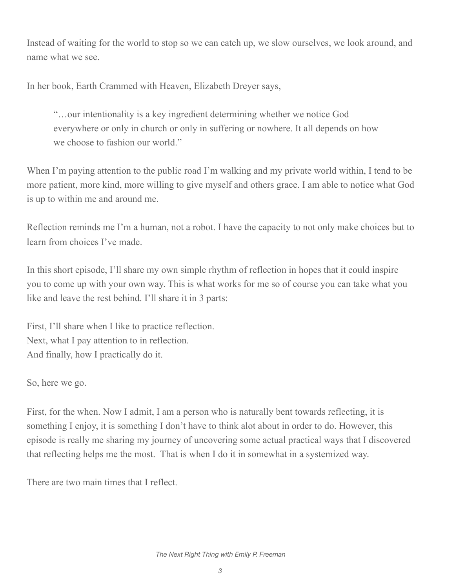Instead of waiting for the world to stop so we can catch up, we slow ourselves, we look around, and name what we see.

In her book, Earth Crammed with Heaven, Elizabeth Dreyer says,

"…our intentionality is a key ingredient determining whether we notice God everywhere or only in church or only in suffering or nowhere. It all depends on how we choose to fashion our world."

When I'm paying attention to the public road I'm walking and my private world within, I tend to be more patient, more kind, more willing to give myself and others grace. I am able to notice what God is up to within me and around me.

Reflection reminds me I'm a human, not a robot. I have the capacity to not only make choices but to learn from choices I've made.

In this short episode, I'll share my own simple rhythm of reflection in hopes that it could inspire you to come up with your own way. This is what works for me so of course you can take what you like and leave the rest behind. I'll share it in 3 parts:

First, I'll share when I like to practice reflection. Next, what I pay attention to in reflection. And finally, how I practically do it.

So, here we go.

First, for the when. Now I admit, I am a person who is naturally bent towards reflecting, it is something I enjoy, it is something I don't have to think alot about in order to do. However, this episode is really me sharing my journey of uncovering some actual practical ways that I discovered that reflecting helps me the most. That is when I do it in somewhat in a systemized way.

There are two main times that I reflect.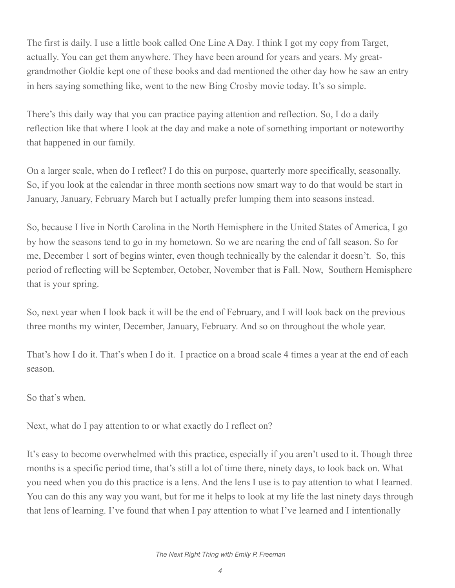The first is daily. I use a little book called One Line A Day. I think I got my copy from Target, actually. You can get them anywhere. They have been around for years and years. My greatgrandmother Goldie kept one of these books and dad mentioned the other day how he saw an entry in hers saying something like, went to the new Bing Crosby movie today. It's so simple.

There's this daily way that you can practice paying attention and reflection. So, I do a daily reflection like that where I look at the day and make a note of something important or noteworthy that happened in our family.

On a larger scale, when do I reflect? I do this on purpose, quarterly more specifically, seasonally. So, if you look at the calendar in three month sections now smart way to do that would be start in January, January, February March but I actually prefer lumping them into seasons instead.

So, because I live in North Carolina in the North Hemisphere in the United States of America, I go by how the seasons tend to go in my hometown. So we are nearing the end of fall season. So for me, December 1 sort of begins winter, even though technically by the calendar it doesn't. So, this period of reflecting will be September, October, November that is Fall. Now, Southern Hemisphere that is your spring.

So, next year when I look back it will be the end of February, and I will look back on the previous three months my winter, December, January, February. And so on throughout the whole year.

That's how I do it. That's when I do it. I practice on a broad scale 4 times a year at the end of each season.

So that's when.

Next, what do I pay attention to or what exactly do I reflect on?

It's easy to become overwhelmed with this practice, especially if you aren't used to it. Though three months is a specific period time, that's still a lot of time there, ninety days, to look back on. What you need when you do this practice is a lens. And the lens I use is to pay attention to what I learned. You can do this any way you want, but for me it helps to look at my life the last ninety days through that lens of learning. I've found that when I pay attention to what I've learned and I intentionally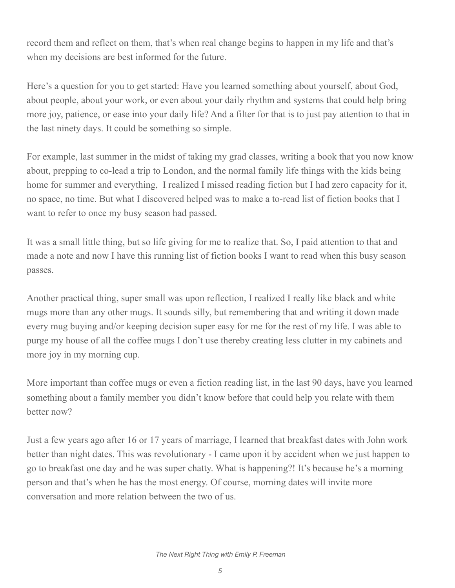record them and reflect on them, that's when real change begins to happen in my life and that's when my decisions are best informed for the future.

Here's a question for you to get started: Have you learned something about yourself, about God, about people, about your work, or even about your daily rhythm and systems that could help bring more joy, patience, or ease into your daily life? And a filter for that is to just pay attention to that in the last ninety days. It could be something so simple.

For example, last summer in the midst of taking my grad classes, writing a book that you now know about, prepping to co-lead a trip to London, and the normal family life things with the kids being home for summer and everything, I realized I missed reading fiction but I had zero capacity for it, no space, no time. But what I discovered helped was to make a to-read list of fiction books that I want to refer to once my busy season had passed.

It was a small little thing, but so life giving for me to realize that. So, I paid attention to that and made a note and now I have this running list of fiction books I want to read when this busy season passes.

Another practical thing, super small was upon reflection, I realized I really like black and white mugs more than any other mugs. It sounds silly, but remembering that and writing it down made every mug buying and/or keeping decision super easy for me for the rest of my life. I was able to purge my house of all the coffee mugs I don't use thereby creating less clutter in my cabinets and more joy in my morning cup.

More important than coffee mugs or even a fiction reading list, in the last 90 days, have you learned something about a family member you didn't know before that could help you relate with them better now?

Just a few years ago after 16 or 17 years of marriage, I learned that breakfast dates with John work better than night dates. This was revolutionary - I came upon it by accident when we just happen to go to breakfast one day and he was super chatty. What is happening?! It's because he's a morning person and that's when he has the most energy. Of course, morning dates will invite more conversation and more relation between the two of us.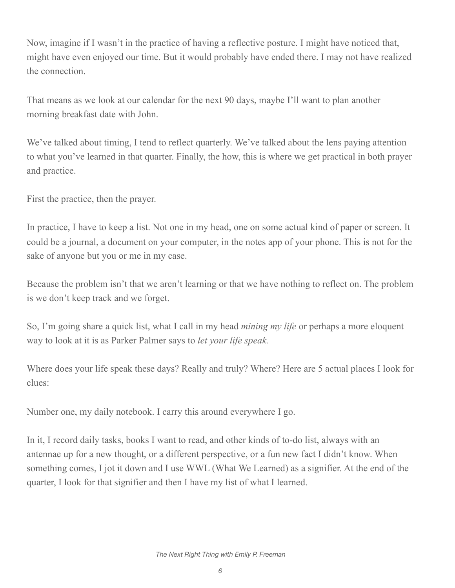Now, imagine if I wasn't in the practice of having a reflective posture. I might have noticed that, might have even enjoyed our time. But it would probably have ended there. I may not have realized the connection.

That means as we look at our calendar for the next 90 days, maybe I'll want to plan another morning breakfast date with John.

We've talked about timing, I tend to reflect quarterly. We've talked about the lens paying attention to what you've learned in that quarter. Finally, the how, this is where we get practical in both prayer and practice.

First the practice, then the prayer.

In practice, I have to keep a list. Not one in my head, one on some actual kind of paper or screen. It could be a journal, a document on your computer, in the notes app of your phone. This is not for the sake of anyone but you or me in my case.

Because the problem isn't that we aren't learning or that we have nothing to reflect on. The problem is we don't keep track and we forget.

So, I'm going share a quick list, what I call in my head *mining my life* or perhaps a more eloquent way to look at it is as Parker Palmer says to *let your life speak.* 

Where does your life speak these days? Really and truly? Where? Here are 5 actual places I look for clues:

Number one, my daily notebook. I carry this around everywhere I go.

In it, I record daily tasks, books I want to read, and other kinds of to-do list, always with an antennae up for a new thought, or a different perspective, or a fun new fact I didn't know. When something comes, I jot it down and I use WWL (What We Learned) as a signifier. At the end of the quarter, I look for that signifier and then I have my list of what I learned.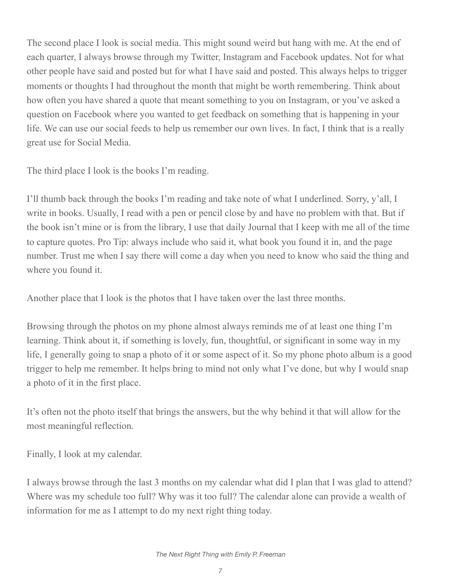The second place I look is social media. This might sound weird but hang with me. At the end of each quarter, I always browse through my Twitter, Instagram and Facebook updates. Not for what other people have said and posted but for what I have said and posted. This always helps to trigger moments or thoughts I had throughout the month that might be worth remembering. Think about how often you have shared a quote that meant something to you on Instagram, or you've asked a question on Facebook where you wanted to get feedback on something that is happening in your life. We can use our social feeds to help us remember our own lives. In fact, I think that is a really great use for Social Media.

The third place I look is the books I'm reading.

I'll thumb back through the books I'm reading and take note of what I underlined. Sorry, y'all, I write in books. Usually, I read with a pen or pencil close by and have no problem with that. But if the book isn't mine or is from the library, I use that daily Journal that I keep with me all of the time to capture quotes. Pro Tip: always include who said it, what book you found it in, and the page number. Trust me when I say there will come a day when you need to know who said the thing and where you found it.

Another place that I look is the photos that I have taken over the last three months.

Browsing through the photos on my phone almost always reminds me of at least one thing I'm learning. Think about it, if something is lovely, fun, thoughtful, or significant in some way in my life, I generally going to snap a photo of it or some aspect of it. So my phone photo album is a good trigger to help me remember. It helps bring to mind not only what I've done, but why I would snap a photo of it in the first place.

It's often not the photo itself that brings the answers, but the why behind it that will allow for the most meaningful reflection.

Finally, I look at my calendar.

I always browse through the last 3 months on my calendar what did I plan that I was glad to attend? Where was my schedule too full? Why was it too full? The calendar alone can provide a wealth of information for me as I attempt to do my next right thing today.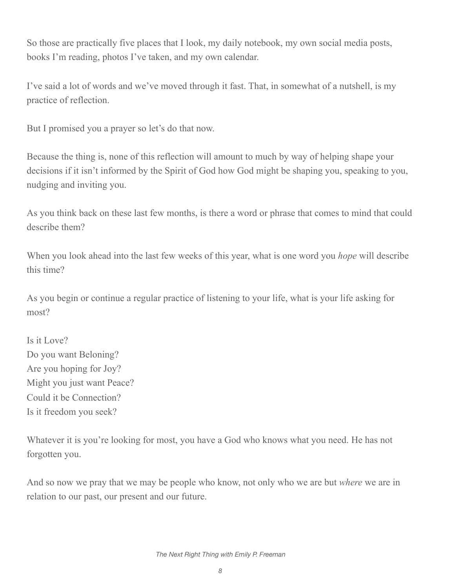So those are practically five places that I look, my daily notebook, my own social media posts, books I'm reading, photos I've taken, and my own calendar.

I've said a lot of words and we've moved through it fast. That, in somewhat of a nutshell, is my practice of reflection.

But I promised you a prayer so let's do that now.

Because the thing is, none of this reflection will amount to much by way of helping shape your decisions if it isn't informed by the Spirit of God how God might be shaping you, speaking to you, nudging and inviting you.

As you think back on these last few months, is there a word or phrase that comes to mind that could describe them?

When you look ahead into the last few weeks of this year, what is one word you *hope* will describe this time?

As you begin or continue a regular practice of listening to your life, what is your life asking for most?

Is it Love? Do you want Beloning? Are you hoping for Joy? Might you just want Peace? Could it be Connection? Is it freedom you seek?

Whatever it is you're looking for most, you have a God who knows what you need. He has not forgotten you.

And so now we pray that we may be people who know, not only who we are but *where* we are in relation to our past, our present and our future.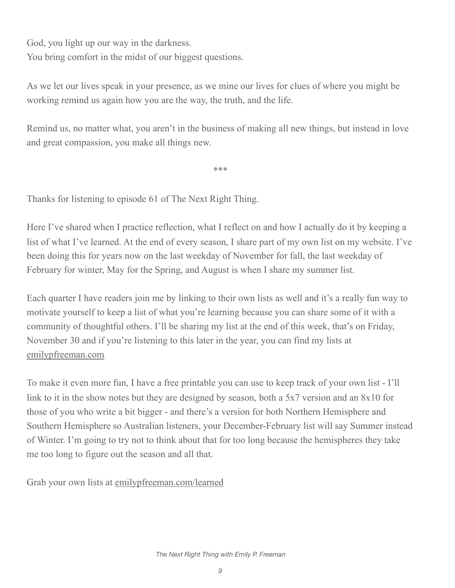God, you light up our way in the darkness. You bring comfort in the midst of our biggest questions.

As we let our lives speak in your presence, as we mine our lives for clues of where you might be working remind us again how you are the way, the truth, and the life.

Remind us, no matter what, you aren't in the business of making all new things, but instead in love and great compassion, you make all things new.

\*\*\*

Thanks for listening to episode 61 of The Next Right Thing.

Here I've shared when I practice reflection, what I reflect on and how I actually do it by keeping a list of what I've learned. At the end of every season, I share part of my own list on my website. I've been doing this for years now on the last weekday of November for fall, the last weekday of February for winter, May for the Spring, and August is when I share my summer list.

Each quarter I have readers join me by linking to their own lists as well and it's a really fun way to motivate yourself to keep a list of what you're learning because you can share some of it with a community of thoughtful others. I'll be sharing my list at the end of this week, that's on Friday, November 30 and if you're listening to this later in the year, you can find my lists at [emilypfreeman.com](http://emilypfreeman.com)

To make it even more fun, I have a free printable you can use to keep track of your own list - I'll link to it in the show notes but they are designed by season, both a 5x7 version and an 8x10 for those of you who write a bit bigger - and there's a version for both Northern Hemisphere and Southern Hemisphere so Australian listeners, your December-February list will say Summer instead of Winter. I'm going to try not to think about that for too long because the hemispheres they take me too long to figure out the season and all that.

Grab your own lists at [emilypfreeman.com/learned](http://emilypfreeman.com/learned)